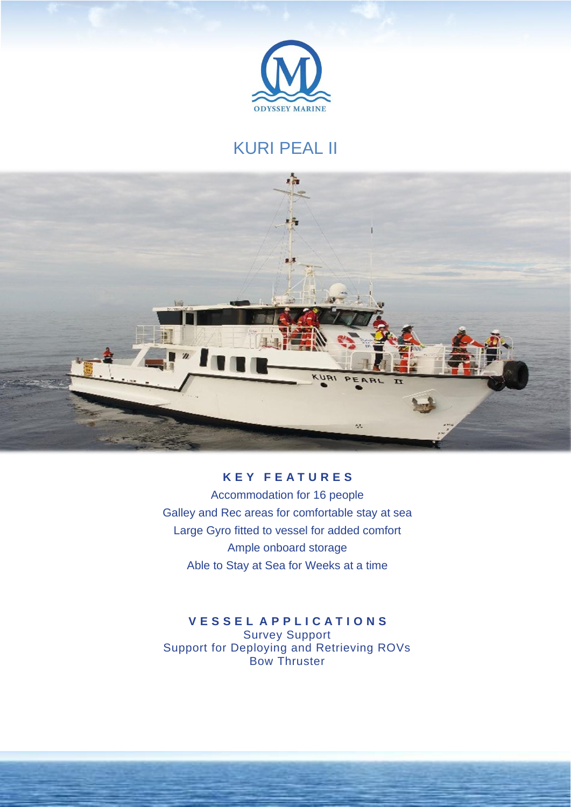

## KURI PEAL II



## **K E Y F E A T U R E S**

Accommodation for 16 people Galley and Rec areas for comfortable stay at sea Large Gyro fitted to vessel for added comfort Ample onboard storage Able to Stay at Sea for Weeks at a time

## **V E S S E L A P P L I C A T I O N S** Survey Support Support for Deploying and Retrieving ROVs Bow Thruster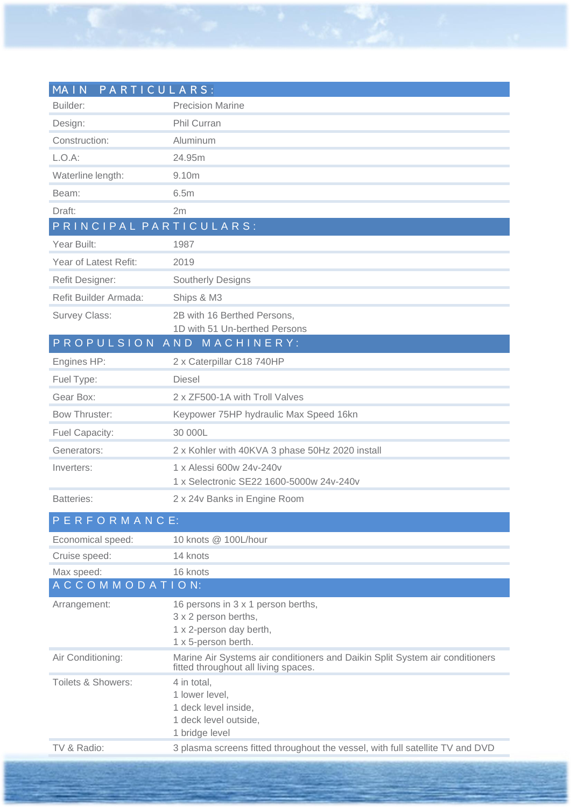| MA IN<br>PARTICULARS:<br>Builder: | <b>Precision Marine</b>                                                                                              |
|-----------------------------------|----------------------------------------------------------------------------------------------------------------------|
|                                   |                                                                                                                      |
| Design:                           | Phil Curran                                                                                                          |
| Construction:                     | Aluminum                                                                                                             |
| $L.O.A$ :                         | 24.95m                                                                                                               |
| Waterline length:                 | 9.10m                                                                                                                |
| Beam:                             | 6.5m                                                                                                                 |
| Draft:                            | 2m                                                                                                                   |
| PRINCIPAL PARTICULARS:            |                                                                                                                      |
| Year Built:                       | 1987                                                                                                                 |
| Year of Latest Refit:             | 2019                                                                                                                 |
| Refit Designer:                   | <b>Southerly Designs</b>                                                                                             |
| Refit Builder Armada:             | Ships & M3                                                                                                           |
| <b>Survey Class:</b>              | 2B with 16 Berthed Persons,                                                                                          |
|                                   | 1D with 51 Un-berthed Persons                                                                                        |
|                                   | PROPULSION AND MACHINERY:                                                                                            |
| Engines HP:                       | 2 x Caterpillar C18 740HP                                                                                            |
| Fuel Type:                        | <b>Diesel</b>                                                                                                        |
| Gear Box:                         | 2 x ZF500-1A with Troll Valves                                                                                       |
| <b>Bow Thruster:</b>              | Keypower 75HP hydraulic Max Speed 16kn                                                                               |
| Fuel Capacity:                    | 30 000L                                                                                                              |
| Generators:                       | 2 x Kohler with 40KVA 3 phase 50Hz 2020 install                                                                      |
| Inverters:                        | 1 x Alessi 600w 24v-240v                                                                                             |
|                                   | 1 x Selectronic SE22 1600-5000w 24v-240v                                                                             |
| <b>Batteries:</b>                 | 2 x 24v Banks in Engine Room                                                                                         |
| PERFORMANCE:                      |                                                                                                                      |
| Economical speed:                 | 10 knots @ 100L/hour                                                                                                 |
| Cruise speed:                     | 14 knots                                                                                                             |
| Max speed:                        | 16 knots                                                                                                             |
| ACCOMMODATION:                    |                                                                                                                      |
| Arrangement:                      | 16 persons in 3 x 1 person berths,<br>3 x 2 person berths,<br>1 x 2-person day berth,<br>1 x 5-person berth.         |
| Air Conditioning:                 | Marine Air Systems air conditioners and Daikin Split System air conditioners<br>fitted throughout all living spaces. |
| Toilets & Showers:                | 4 in total.<br>1 lower level,<br>1 deck level inside,<br>1 deck level outside,<br>1 bridge level                     |
| TV & Radio:                       | 3 plasma screens fitted throughout the vessel, with full satellite TV and DVD                                        |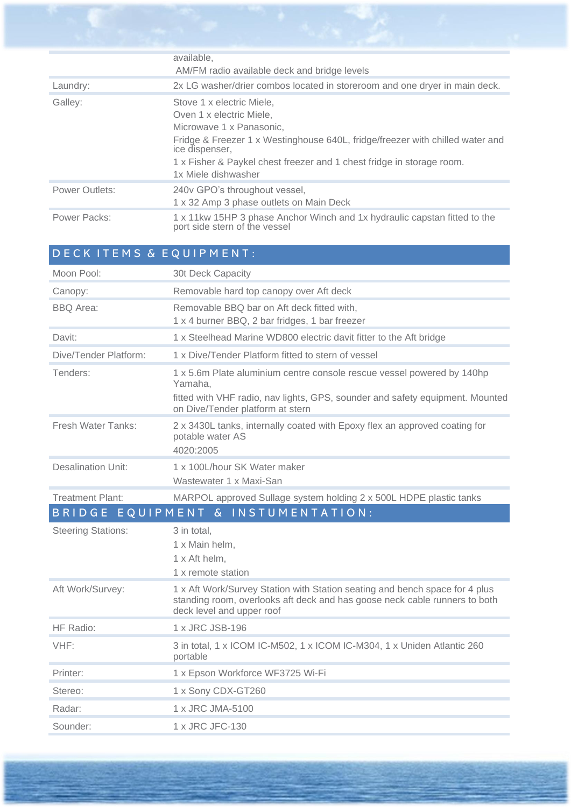|                       | available,<br>AM/FM radio available deck and bridge levels                                                                                                                                                                                                                           |
|-----------------------|--------------------------------------------------------------------------------------------------------------------------------------------------------------------------------------------------------------------------------------------------------------------------------------|
| Laundry:              | 2x LG washer/drier combos located in storeroom and one dryer in main deck.                                                                                                                                                                                                           |
| Galley:               | Stove 1 x electric Miele,<br>Oven 1 x electric Miele.<br>Microwave 1 x Panasonic.<br>Fridge & Freezer 1 x Westinghouse 640L, fridge/freezer with chilled water and<br>ice dispenser.<br>1 x Fisher & Paykel chest freezer and 1 chest fridge in storage room.<br>1x Miele dishwasher |
| <b>Power Outlets:</b> | 240v GPO's throughout vessel,<br>1 x 32 Amp 3 phase outlets on Main Deck                                                                                                                                                                                                             |
| Power Packs:          | 1 x 11kw 15HP 3 phase Anchor Winch and 1x hydraulic capstan fitted to the<br>port side stern of the vessel                                                                                                                                                                           |

| DECK ITEMS & EQUIPMENT:                      |                                                                                                                                                                                                        |  |
|----------------------------------------------|--------------------------------------------------------------------------------------------------------------------------------------------------------------------------------------------------------|--|
| Moon Pool:                                   | 30t Deck Capacity                                                                                                                                                                                      |  |
| Canopy:                                      | Removable hard top canopy over Aft deck                                                                                                                                                                |  |
| <b>BBQ</b> Area:                             | Removable BBQ bar on Aft deck fitted with,<br>1 x 4 burner BBQ, 2 bar fridges, 1 bar freezer                                                                                                           |  |
| Davit:                                       | 1 x Steelhead Marine WD800 electric davit fitter to the Aft bridge                                                                                                                                     |  |
| Dive/Tender Platform:                        | 1 x Dive/Tender Platform fitted to stern of vessel                                                                                                                                                     |  |
| Tenders:                                     | 1 x 5.6m Plate aluminium centre console rescue vessel powered by 140hp<br>Yamaha,<br>fitted with VHF radio, nav lights, GPS, sounder and safety equipment. Mounted<br>on Dive/Tender platform at stern |  |
| Fresh Water Tanks:                           | 2 x 3430L tanks, internally coated with Epoxy flex an approved coating for<br>potable water AS<br>4020:2005                                                                                            |  |
| <b>Desalination Unit:</b>                    | 1 x 100L/hour SK Water maker<br>Wastewater 1 x Maxi-San                                                                                                                                                |  |
| <b>Treatment Plant:</b>                      | MARPOL approved Sullage system holding 2 x 500L HDPE plastic tanks                                                                                                                                     |  |
| EQUIPMENT & INSTUMENTATION:<br><b>BRIDGE</b> |                                                                                                                                                                                                        |  |
| <b>Steering Stations:</b>                    | 3 in total,<br>1 x Main helm.<br>1 x Aft helm.<br>1 x remote station                                                                                                                                   |  |
| Aft Work/Survey:                             | 1 x Aft Work/Survey Station with Station seating and bench space for 4 plus<br>standing room, overlooks aft deck and has goose neck cable runners to both<br>deck level and upper roof                 |  |
| HF Radio:                                    | 1 x JRC JSB-196                                                                                                                                                                                        |  |
| VHF:                                         | 3 in total, 1 x ICOM IC-M502, 1 x ICOM IC-M304, 1 x Uniden Atlantic 260<br>portable                                                                                                                    |  |
| Printer:                                     | 1 x Epson Workforce WF3725 Wi-Fi                                                                                                                                                                       |  |
| Stereo:                                      | 1 x Sony CDX-GT260                                                                                                                                                                                     |  |
| Radar:                                       | 1 x JRC JMA-5100                                                                                                                                                                                       |  |
| Sounder:                                     | 1 x JRC JFC-130                                                                                                                                                                                        |  |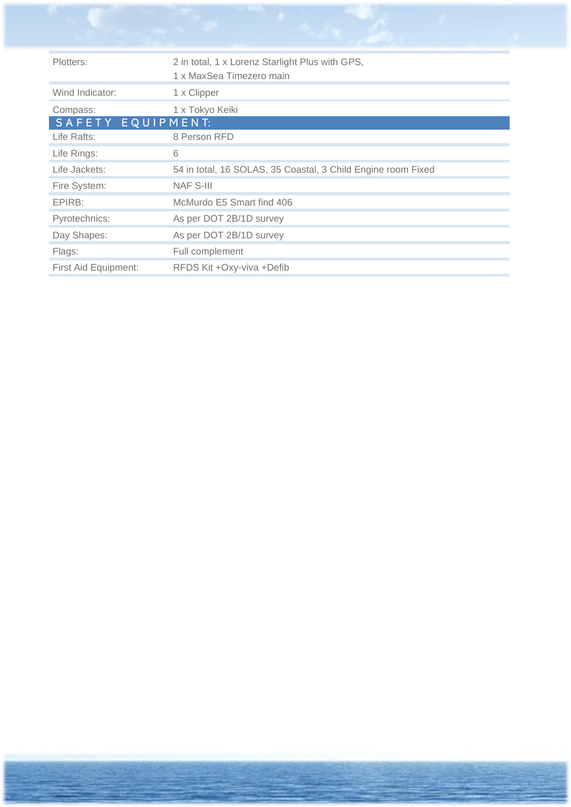| Plotters:            | 2 in total, 1 x Lorenz Starlight Plus with GPS,<br>1 x MaxSea Timezero main |
|----------------------|-----------------------------------------------------------------------------|
| Wind Indicator:      | 1 x Clipper                                                                 |
| Compass:             | 1 x Tokyo Keiki                                                             |
| SAFETY EQUIPMENT:    |                                                                             |
| Life Rafts:          | 8 Person RFD                                                                |
| Life Rings:          | 6                                                                           |
| Life Jackets:        | 54 in total, 16 SOLAS, 35 Coastal, 3 Child Engine room Fixed                |
| Fire System:         | <b>NAF S-III</b>                                                            |
| EPIRB:               | McMurdo E5 Smart find 406                                                   |
| Pyrotechnics:        | As per DOT 2B/1D survey                                                     |
| Day Shapes:          | As per DOT 2B/1D survey                                                     |
| Flags:               | Full complement                                                             |
| First Aid Equipment: | RFDS Kit +Oxy-viva +Defib                                                   |